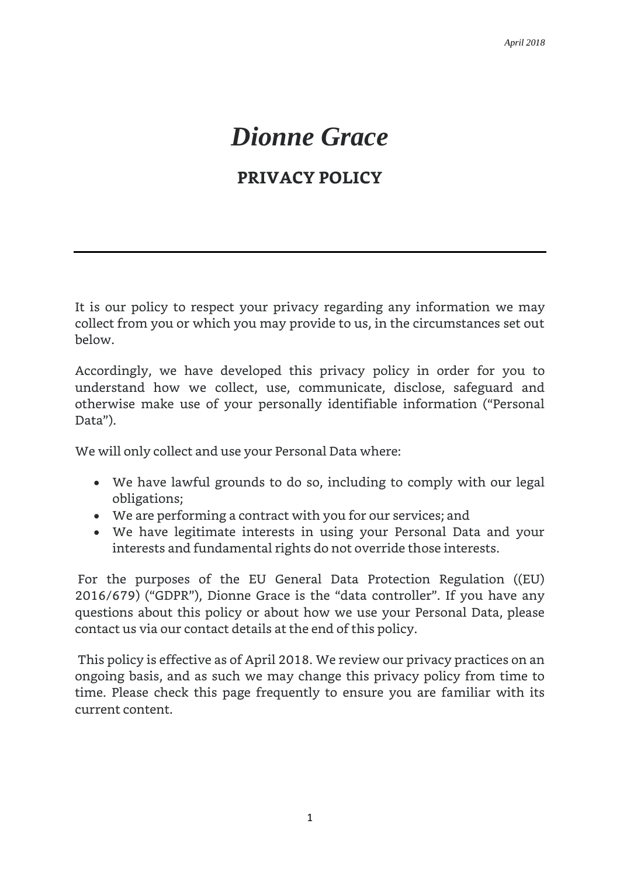# *Dionne Grace*

# **PRIVACY POLICY**

It is our policy to respect your privacy regarding any information we may collect from you or which you may provide to us, in the circumstances set out below.

Accordingly, we have developed this privacy policy in order for you to understand how we collect, use, communicate, disclose, safeguard and otherwise make use of your personally identifiable information ("Personal Data").

We will only collect and use your Personal Data where:

- We have lawful grounds to do so, including to comply with our legal obligations;
- We are performing a contract with you for our services; and
- We have legitimate interests in using your Personal Data and your interests and fundamental rights do not override those interests.

For the purposes of the EU General Data Protection Regulation ((EU) 2016/679) ("GDPR"), Dionne Grace is the "data controller". If you have any questions about this policy or about how we use your Personal Data, please contact us via our contact details at the end of this policy.

This policy is effective as of April 2018. We review our privacy practices on an ongoing basis, and as such we may change this privacy policy from time to time. Please check this page frequently to ensure you are familiar with its current content.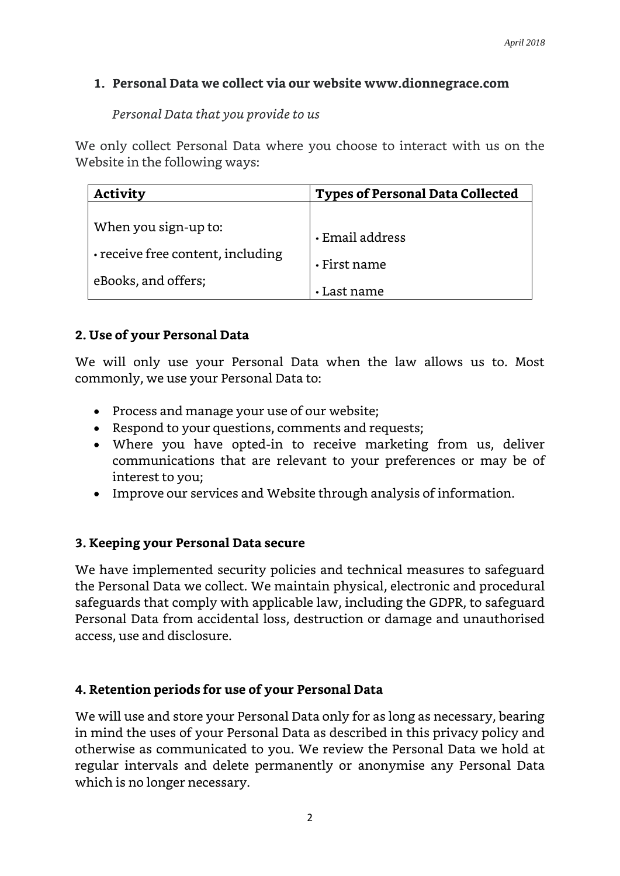#### **1. Personal Data we collect via our website www.dionnegrace.com**

*Personal Data that you provide to us*

We only collect Personal Data where you choose to interact with us on the Website in the following ways:

| <b>Activity</b>                   | <b>Types of Personal Data Collected</b> |
|-----------------------------------|-----------------------------------------|
| When you sign-up to:              | $\cdot$ Email address                   |
| • receive free content, including | $\cdot$ First name                      |
| eBooks, and offers;               | • Last name                             |

#### **2. Use of your Personal Data**

We will only use your Personal Data when the law allows us to. Most commonly, we use your Personal Data to:

- Process and manage your use of our website;
- Respond to your questions, comments and requests;
- Where you have opted-in to receive marketing from us, deliver communications that are relevant to your preferences or may be of interest to you;
- Improve our services and Website through analysis of information.

#### **3. Keeping your Personal Data secure**

We have implemented security policies and technical measures to safeguard the Personal Data we collect. We maintain physical, electronic and procedural safeguards that comply with applicable law, including the GDPR, to safeguard Personal Data from accidental loss, destruction or damage and unauthorised access, use and disclosure.

# **4. Retention periods for use of your Personal Data**

We will use and store your Personal Data only for as long as necessary, bearing in mind the uses of your Personal Data as described in this privacy policy and otherwise as communicated to you. We review the Personal Data we hold at regular intervals and delete permanently or anonymise any Personal Data which is no longer necessary.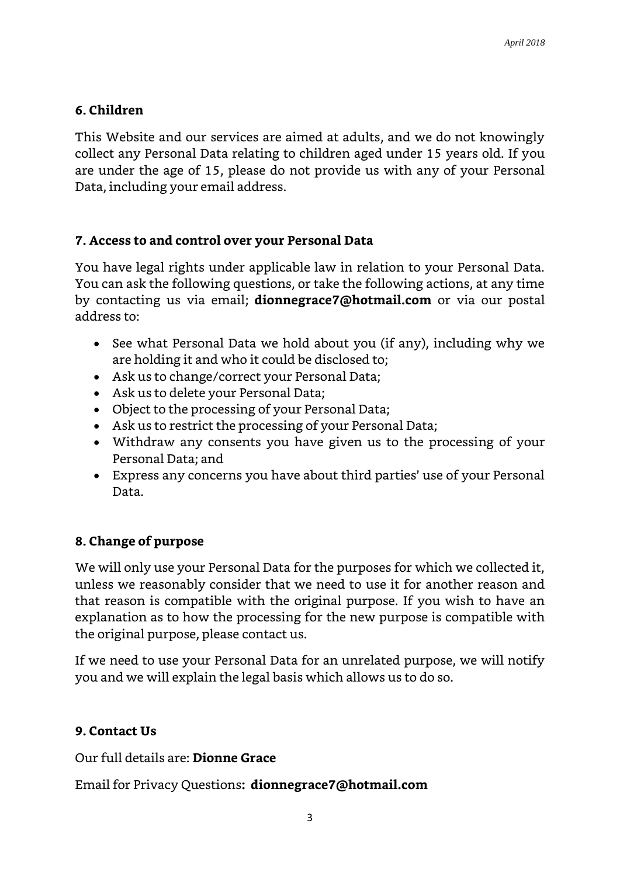## **6. Children**

This Website and our services are aimed at adults, and we do not knowingly collect any Personal Data relating to children aged under 15 years old. If you are under the age of 15, please do not provide us with any of your Personal Data, including your email address.

### **7. Access to and control over your Personal Data**

You have legal rights under applicable law in relation to your Personal Data. You can ask the following questions, or take the following actions, at any time by contacting us via email; **dionnegrace7@hotmail.com** or via our postal address to:

- See what Personal Data we hold about you (if any), including why we are holding it and who it could be disclosed to;
- Ask us to change/correct your Personal Data;
- Ask us to delete your Personal Data;
- Object to the processing of your Personal Data;
- Ask us to restrict the processing of your Personal Data;
- Withdraw any consents you have given us to the processing of your Personal Data; and
- Express any concerns you have about third parties' use of your Personal Data.

#### **8. Change of purpose**

We will only use your Personal Data for the purposes for which we collected it, unless we reasonably consider that we need to use it for another reason and that reason is compatible with the original purpose. If you wish to have an explanation as to how the processing for the new purpose is compatible with the original purpose, please contact us.

If we need to use your Personal Data for an unrelated purpose, we will notify you and we will explain the legal basis which allows us to do so.

# **9. Contact Us**

Our full details are: **Dionne Grace**

Email for Privacy Questions**: dionnegrace7@hotmail.com**